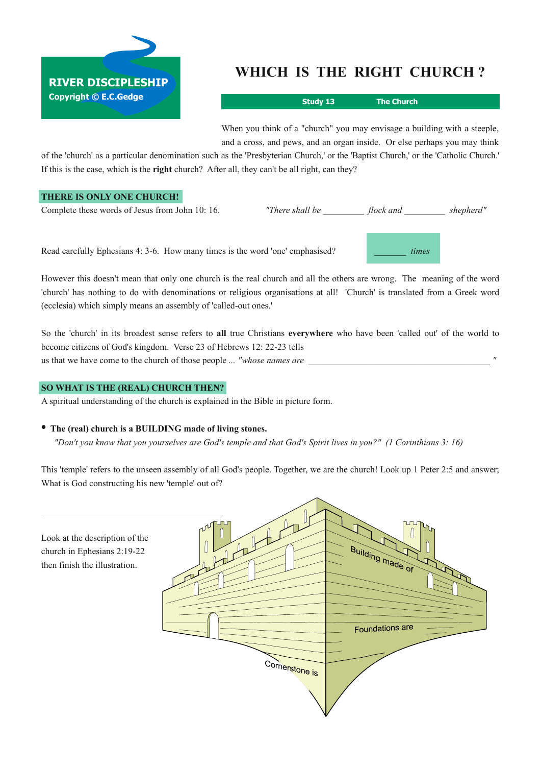

# **WHICH IS THE RIGHT CHURCH ?**

**Study 13 The Church**

*\_\_\_\_\_\_\_ times*

When you think of a "church" you may envisage a building with a steeple, and a cross, and pews, and an organ inside. Or else perhaps you may think

of the 'church' as a particular denomination such as the 'Presbyterian Church,' or the 'Baptist Church,' or the 'Catholic Church.' If this is the case, which is the **right** church? After all, they can't be all right, can they?

# **THERE IS ONLY ONE CHURCH!**

Complete these words of Jesus from John 10: 16. *"There shall be flock and shepherd"* 

Read carefully Ephesians 4: 3-6. How many times is the word 'one' emphasised?

However this doesn't mean that only one church is the real church and all the others are wrong. The meaning of the word 'church' has nothing to do with denominations or religious organisations at all! 'Church' is translated from a Greek word (ecclesia) which simply means an assembly of 'called-out ones.'

So the 'church' in its broadest sense refers to **all** true Christians **everywhere** who have been 'called out' of the world to become citizens of God's kingdom. Verse 23 of Hebrews 12: 22-23 tells us that we have come to the church of those people ... *"whose names are* 

### **SO WHAT IS THE (REAL) CHURCH THEN?**

A spiritual understanding of the church is explained in the Bible in picture form.

## **• The (real) church is <sup>a</sup> BUILDING made of living stones.**

"Don't you know that you yourselves are God's temple and that God's Spirit lives in you?" (1 Corinthians 3: 16)

This 'temple' refers to the unseen assembly of all God's people. Together, we are the church! Look up 1 Peter 2:5 and answer; What is God constructing his new 'temple' out of?